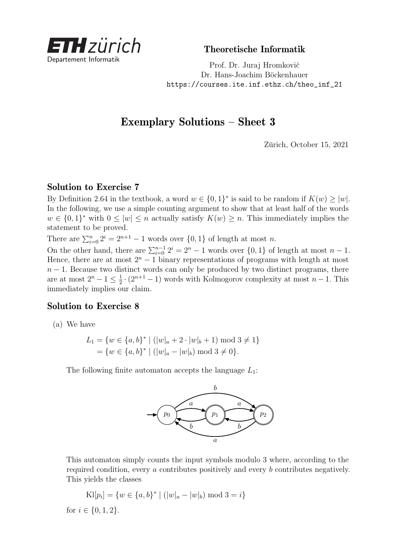

Theoretische Informatik

Prof. Dr. Juraj Hromkovič Dr. Hans-Joachim Böckenhauer [https://courses.ite.inf.ethz.ch/theo\\_inf\\_21](https://courses.ite.inf.ethz.ch/theo_inf_21)

## Exemplary Solutions – Sheet 3

Zürich, October 15, 2021

## Solution to Exercise 7

By Definition 2.64 in the textbook, a word  $w \in \{0,1\}^*$  is said to be random if  $K(w) \ge |w|$ . In the following, we use a simple counting argument to show that at least half of the words  $w \in \{0,1\}^*$  with  $0 \leq |w| \leq n$  actually satisfy  $K(w) \geq n$ . This immediately implies the statement to be proved.

There are  $\sum_{i=0}^{n} 2^{i} = 2^{n+1} - 1$  words over  $\{0, 1\}$  of length at most *n*.

On the other hand, there are  $\sum_{i=0}^{n-1} 2^i = 2^n - 1$  words over  $\{0, 1\}$  of length at most  $n - 1$ . Hence, there are at most  $2^n - 1$  binary representations of programs with length at most  $n-1$ . Because two distinct words can only be produced by two distinct programs, there are at most  $2^n - 1 \leq \frac{1}{2}$  $\frac{1}{2} \cdot (2^{n+1} - 1)$  words with Kolmogorov complexity at most *n* − 1. This immediately implies our claim.

## Solution to Exercise 8

(a) We have

$$
L_1 = \{ w \in \{a, b\}^* \mid (|w|_a + 2 \cdot |w|_b + 1) \mod 3 \neq 1 \}
$$
  
=  $\{ w \in \{a, b\}^* \mid (|w|_a - |w|_b) \mod 3 \neq 0 \}.$ 

The following finite automaton accepts the language *L*1:



This automaton simply counts the input symbols modulo 3 where, according to the required condition, every *a* contributes positively and every *b* contributes negatively. This yields the classes

$$
Kl[p_i] = \{w \in \{a, b\}^* \mid (|w|_a - |w|_b) \bmod 3 = i\}
$$

for  $i \in \{0, 1, 2\}$ .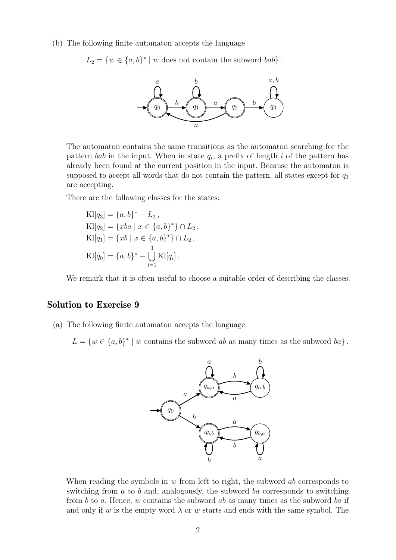(b) The following finite automaton accepts the language

 $L_2 = \{w \in \{a, b\}^* \mid w \text{ does not contain the subword } bab\}.$ 



The automaton contains the same transitions as the automaton searching for the pattern *bab* in the input. When in state  $q_i$ , a prefix of length *i* of the pattern has already been found at the current position in the input. Because the automaton is supposed to accept all words that do not contain the pattern, all states except for *q*<sup>3</sup> are accepting.

There are the following classes for the states:

$$
Kl[q_3] = \{a, b\}^* - L_2,
$$
  
\n
$$
Kl[q_2] = \{xba \mid x \in \{a, b\}^*\} \cap L_2,
$$
  
\n
$$
Kl[q_1] = \{xb \mid x \in \{a, b\}^*\} \cap L_2,
$$
  
\n
$$
Kl[q_0] = \{a, b\}^* - \bigcup_{i=1}^3 Kl[q_i].
$$

We remark that it is often useful to choose a suitable order of describing the classes.

## Solution to Exercise 9

(a) The following finite automaton accepts the language

 $L = \{w \in \{a, b\}^* \mid w \text{ contains the subword } ab \text{ as many times as the subword } ba\}.$ 



When reading the symbols in *w* from left to right, the subword *ab* corresponds to switching from *a* to *b* and, analogously, the subword *ba* corresponds to switching from *b* to *a*. Hence, *w* contains the subword *ab* as many times as the subword *ba* if and only if *w* is the empty word  $\lambda$  or *w* starts and ends with the same symbol. The